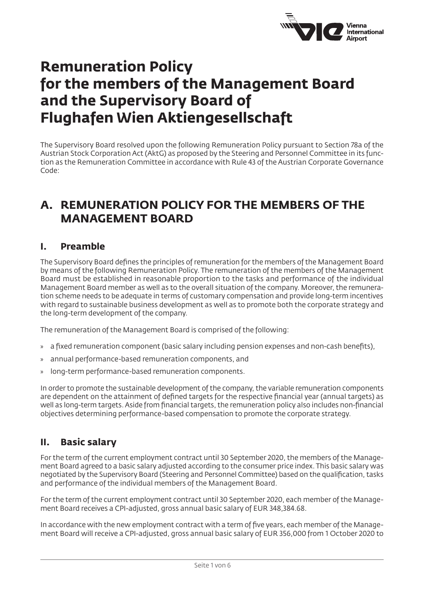

# **Remuneration Policy for the members of the Management Board and the Supervisory Board of Flughafen Wien Aktiengesellschaft**

The Supervisory Board resolved upon the following Remuneration Policy pursuant to Section 78a of the Austrian Stock Corporation Act (AktG) as proposed by the Steering and Personnel Committee in its function as the Remuneration Committee in accordance with Rule 43 of the Austrian Corporate Governance Code:

## **A. REMUNERATION POLICY FOR THE MEMBERS OF THE MANAGEMENT BOARD**

### **I. Preamble**

The Supervisory Board defines the principles of remuneration for the members of the Management Board by means of the following Remuneration Policy. The remuneration of the members of the Management Board must be established in reasonable proportion to the tasks and performance of the individual Management Board member as well as to the overall situation of the company. Moreover, the remuneration scheme needs to be adequate in terms of customary compensation and provide long-term incentives with regard to sustainable business development as well as to promote both the corporate strategy and the long-term development of the company.

The remuneration of the Management Board is comprised of the following:

- » a fixed remuneration component (basic salary including pension expenses and non-cash benefits),
- » annual performance-based remuneration components, and
- » long-term performance-based remuneration components.

In order to promote the sustainable development of the company, the variable remuneration components are dependent on the attainment of defined targets for the respective financial year (annual targets) as well as long-term targets. Aside from financial targets, the remuneration policy also includes non-financial objectives determining performance-based compensation to promote the corporate strategy.

### **II. Basic salary**

For the term of the current employment contract until 30 September 2020, the members of the Management Board agreed to a basic salary adjusted according to the consumer price index. This basic salary was negotiated by the Supervisory Board (Steering and Personnel Committee) based on the qualification, tasks and performance of the individual members of the Management Board.

For the term of the current employment contract until 30 September 2020, each member of the Management Board receives a CPI-adjusted, gross annual basic salary of EUR 348,384.68.

In accordance with the new employment contract with a term of five years, each member of the Management Board will receive a CPI-adjusted, gross annual basic salary of EUR 356,000 from 1 October 2020 to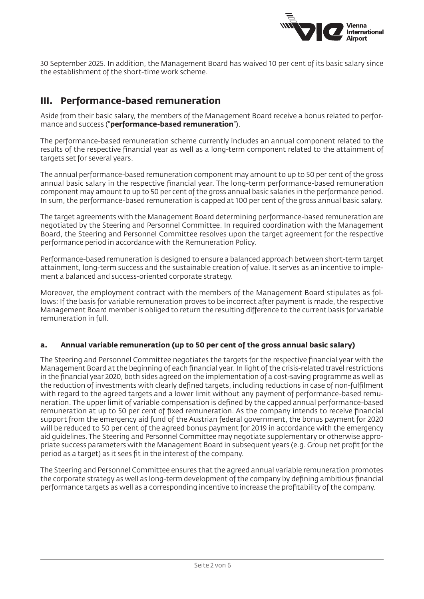

30 September 2025. In addition, the Management Board has waived 10 per cent of its basic salary since the establishment of the short-time work scheme.

### **III. Performance-based remuneration**

Aside from their basic salary, the members of the Management Board receive a bonus related to performance and success ("**performance-based remuneration**").

The performance-based remuneration scheme currently includes an annual component related to the results of the respective financial year as well as a long-term component related to the attainment of targets set for several years.

The annual performance-based remuneration component may amount to up to 50 per cent of the gross annual basic salary in the respective financial year. The long-term performance-based remuneration component may amount to up to 50 per cent of the gross annual basic salaries in the performance period. In sum, the performance-based remuneration is capped at 100 per cent of the gross annual basic salary.

The target agreements with the Management Board determining performance-based remuneration are negotiated by the Steering and Personnel Committee. In required coordination with the Management Board, the Steering and Personnel Committee resolves upon the target agreement for the respective performance period in accordance with the Remuneration Policy.

Performance-based remuneration is designed to ensure a balanced approach between short-term target attainment, long-term success and the sustainable creation of value. It serves as an incentive to implement a balanced and success-oriented corporate strategy.

Moreover, the employment contract with the members of the Management Board stipulates as follows: If the basis for variable remuneration proves to be incorrect after payment is made, the respective Management Board member is obliged to return the resulting difference to the current basis for variable remuneration in full.

#### **a. Annual variable remuneration (up to 50 per cent of the gross annual basic salary)**

The Steering and Personnel Committee negotiates the targets for the respective financial year with the Management Board at the beginning of each financial year. In light of the crisis-related travel restrictions in the financial year 2020, both sides agreed on the implementation of a cost-saving programme as well as the reduction of investments with clearly defined targets, including reductions in case of non-fulfilment with regard to the agreed targets and a lower limit without any payment of performance-based remuneration. The upper limit of variable compensation is defined by the capped annual performance-based remuneration at up to 50 per cent of fixed remuneration. As the company intends to receive financial support from the emergency aid fund of the Austrian federal government, the bonus payment for 2020 will be reduced to 50 per cent of the agreed bonus payment for 2019 in accordance with the emergency aid guidelines. The Steering and Personnel Committee may negotiate supplementary or otherwise appropriate success parameters with the Management Board in subsequent years (e.g. Group net profit for the period as a target) as it sees fit in the interest of the company.

The Steering and Personnel Committee ensures that the agreed annual variable remuneration promotes the corporate strategy as well as long-term development of the company by defining ambitious financial performance targets as well as a corresponding incentive to increase the profitability of the company.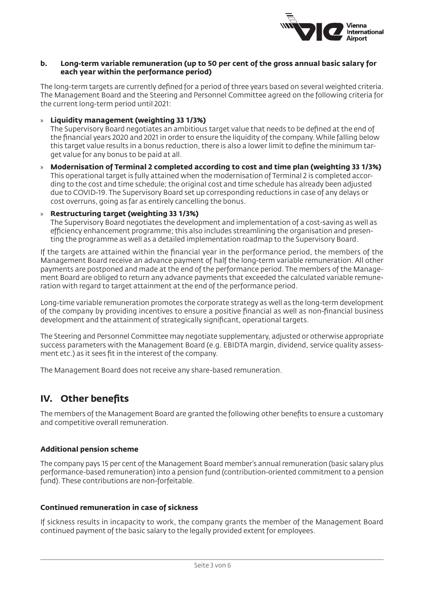

#### **b. Long-term variable remuneration (up to 50 per cent of the gross annual basic salary for each year within the performance period)**

The long-term targets are currently defined for a period of three years based on several weighted criteria. The Management Board and the Steering and Personnel Committee agreed on the following criteria for the current long-term period until 2021:

» **Liquidity management (weighting 33 1/3%)**

The Supervisory Board negotiates an ambitious target value that needs to be defined at the end of the financial years 2020 and 2021 in order to ensure the liquidity of the company. While falling below this target value results in a bonus reduction, there is also a lower limit to define the minimum target value for any bonus to be paid at all.

» **Modernisation of Terminal 2 completed according to cost and time plan (weighting 33 1/3%)** This operational target is fully attained when the modernisation of Terminal 2 is completed according to the cost and time schedule; the original cost and time schedule has already been adjusted due to COVID-19. The Supervisory Board set up corresponding reductions in case of any delays or cost overruns, going as far as entirely cancelling the bonus.

#### » **Restructuring target (weighting 33 1/3%)**

The Supervisory Board negotiates the development and implementation of a cost-saving as well as efficiency enhancement programme; this also includes streamlining the organisation and presenting the programme as well as a detailed implementation roadmap to the Supervisory Board.

If the targets are attained within the financial year in the performance period, the members of the Management Board receive an advance payment of half the long-term variable remuneration. All other payments are postponed and made at the end of the performance period. The members of the Management Board are obliged to return any advance payments that exceeded the calculated variable remuneration with regard to target attainment at the end of the performance period.

Long-time variable remuneration promotes the corporate strategy as well as the long-term development of the company by providing incentives to ensure a positive financial as well as non-financial business development and the attainment of strategically significant, operational targets.

The Steering and Personnel Committee may negotiate supplementary, adjusted or otherwise appropriate success parameters with the Management Board (e.g. EBIDTA margin, dividend, service quality assessment etc.) as it sees fit in the interest of the company.

The Management Board does not receive any share-based remuneration.

### **IV. Other benefits**

The members of the Management Board are granted the following other benefits to ensure a customary and competitive overall remuneration.

#### **Additional pension scheme**

The company pays 15 per cent of the Management Board member's annual remuneration (basic salary plus performance-based remuneration) into a pension fund (contribution-oriented commitment to a pension fund). These contributions are non-forfeitable.

#### **Continued remuneration in case of sickness**

If sickness results in incapacity to work, the company grants the member of the Management Board continued payment of the basic salary to the legally provided extent for employees.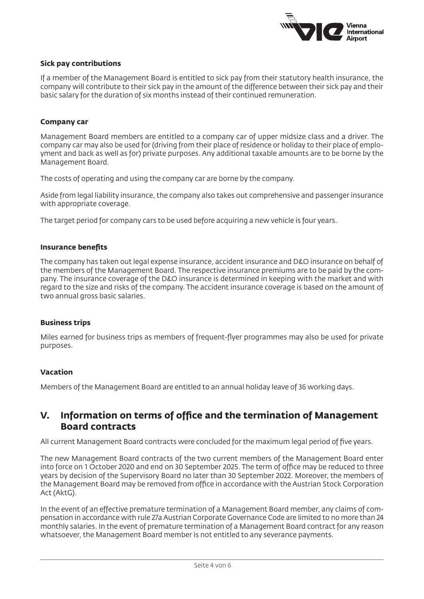

#### **Sick pay contributions**

If a member of the Management Board is entitled to sick pay from their statutory health insurance, the company will contribute to their sick pay in the amount of the difference between their sick pay and their basic salary for the duration of six months instead of their continued remuneration.

#### **Company car**

Management Board members are entitled to a company car of upper midsize class and a driver. The company car may also be used for (driving from their place of residence or holiday to their place of employment and back as well as for) private purposes. Any additional taxable amounts are to be borne by the Management Board.

The costs of operating and using the company car are borne by the company.

Aside from legal liability insurance, the company also takes out comprehensive and passenger insurance with appropriate coverage.

The target period for company cars to be used before acquiring a new vehicle is four years.

#### **Insurance benefits**

The company has taken out legal expense insurance, accident insurance and D&O insurance on behalf of the members of the Management Board. The respective insurance premiums are to be paid by the company. The insurance coverage of the D&O insurance is determined in keeping with the market and with regard to the size and risks of the company. The accident insurance coverage is based on the amount of two annual gross basic salaries.

#### **Business trips**

Miles earned for business trips as members of frequent-flyer programmes may also be used for private purposes.

#### **Vacation**

Members of the Management Board are entitled to an annual holiday leave of 36 working days.

### **V. Information on terms of office and the termination of Management Board contracts**

All current Management Board contracts were concluded for the maximum legal period of five years.

The new Management Board contracts of the two current members of the Management Board enter into force on 1 October 2020 and end on 30 September 2025. The term of office may be reduced to three years by decision of the Supervisory Board no later than 30 September 2022. Moreover, the members of the Management Board may be removed from office in accordance with the Austrian Stock Corporation Act (AktG).

In the event of an effective premature termination of a Management Board member, any claims of compensation in accordance with rule 27a Austrian Corporate Governance Code are limited to no more than 24 monthly salaries. In the event of premature termination of a Management Board contract for any reason whatsoever, the Management Board member is not entitled to any severance payments.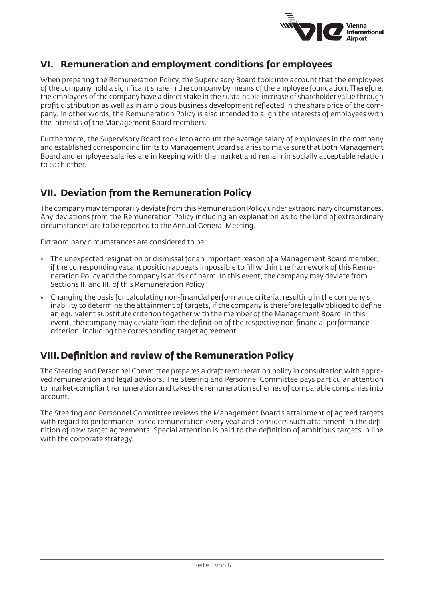

### **VI. Remuneration and employment conditions for employees**

When preparing the Remuneration Policy, the Supervisory Board took into account that the employees of the company hold a significant share in the company by means of the employee foundation. Therefore, the employees of the company have a direct stake in the sustainable increase of shareholder value through profit distribution as well as in ambitious business development reflected in the share price of the company. In other words, the Remuneration Policy is also intended to align the interests of employees with the interests of the Management Board members.

Furthermore, the Supervisory Board took into account the average salary of employees in the company and established corresponding limits to Management Board salaries to make sure that both Management Board and employee salaries are in keeping with the market and remain in socially acceptable relation to each other.

### **VII. Deviation from the Remuneration Policy**

The company may temporarily deviate from this Remuneration Policy under extraordinary circumstances. Any deviations from the Remuneration Policy including an explanation as to the kind of extraordinary circumstances are to be reported to the Annual General Meeting.

Extraordinary circumstances are considered to be:

- » The unexpected resignation or dismissal for an important reason of a Management Board member, if the corresponding vacant position appears impossible to fill within the framework of this Remuneration Policy and the company is at risk of harm. In this event, the company may deviate from Sections II. and III. of this Remuneration Policy.
- » Changing the basis for calculating non-financial performance criteria, resulting in the company's inability to determine the attainment of targets, if the company is therefore legally obliged to define an equivalent substitute criterion together with the member of the Management Board. In this event, the company may deviate from the definition of the respective non-financial performance criterion, including the corresponding target agreement.

### **VIII.Definition and review of the Remuneration Policy**

The Steering and Personnel Committee prepares a draft remuneration policy in consultation with approved remuneration and legal advisors. The Steering and Personnel Committee pays particular attention to market-compliant remuneration and takes the remuneration schemes of comparable companies into account.

The Steering and Personnel Committee reviews the Management Board's attainment of agreed targets with regard to performance-based remuneration every year and considers such attainment in the definition of new target agreements. Special attention is paid to the definition of ambitious targets in line with the corporate strategy.